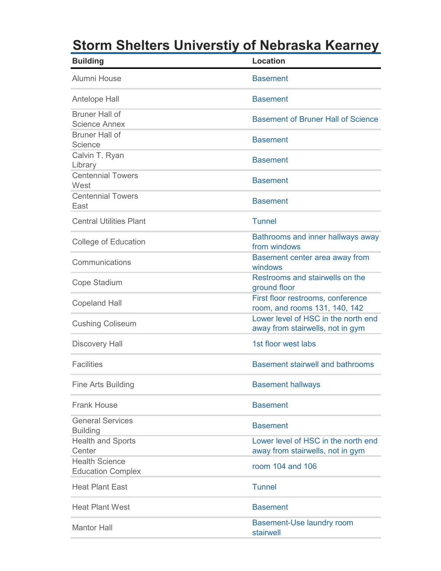## **Storm Shelters Universtiy of Nebraska Kearney**

| <b>Building</b>                                   | <b>Location</b>                                                         |
|---------------------------------------------------|-------------------------------------------------------------------------|
| Alumni House                                      | <b>Basement</b>                                                         |
| Antelope Hall                                     | <b>Basement</b>                                                         |
| <b>Bruner Hall of</b><br><b>Science Annex</b>     | <b>Basement of Bruner Hall of Science</b>                               |
| <b>Bruner Hall of</b><br>Science                  | <b>Basement</b>                                                         |
| Calvin T. Ryan<br>Library                         | <b>Basement</b>                                                         |
| <b>Centennial Towers</b><br>West                  | <b>Basement</b>                                                         |
| <b>Centennial Towers</b><br>East                  | <b>Basement</b>                                                         |
| <b>Central Utilities Plant</b>                    | <b>Tunnel</b>                                                           |
| <b>College of Education</b>                       | Bathrooms and inner hallways away<br>from windows                       |
| Communications                                    | Basement center area away from<br>windows                               |
| Cope Stadium                                      | Restrooms and stairwells on the<br>ground floor                         |
| <b>Copeland Hall</b>                              | First floor restrooms, conference<br>room, and rooms 131, 140, 142      |
| <b>Cushing Coliseum</b>                           | Lower level of HSC in the north end<br>away from stairwells, not in gym |
| <b>Discovery Hall</b>                             | 1st floor west labs                                                     |
| <b>Facilities</b>                                 | <b>Basement stairwell and bathrooms</b>                                 |
| <b>Fine Arts Building</b>                         | <b>Basement hallways</b>                                                |
| <b>Frank House</b>                                | <b>Basement</b>                                                         |
| <b>General Services</b><br><b>Building</b>        | <b>Basement</b>                                                         |
| <b>Health and Sports</b><br>Center                | Lower level of HSC in the north end<br>away from stairwells, not in gym |
| <b>Health Science</b><br><b>Education Complex</b> | room 104 and 106                                                        |
| <b>Heat Plant East</b>                            | <b>Tunnel</b>                                                           |
| <b>Heat Plant West</b>                            | <b>Basement</b>                                                         |
| <b>Mantor Hall</b>                                | <b>Basement-Use laundry room</b><br>stairwell                           |